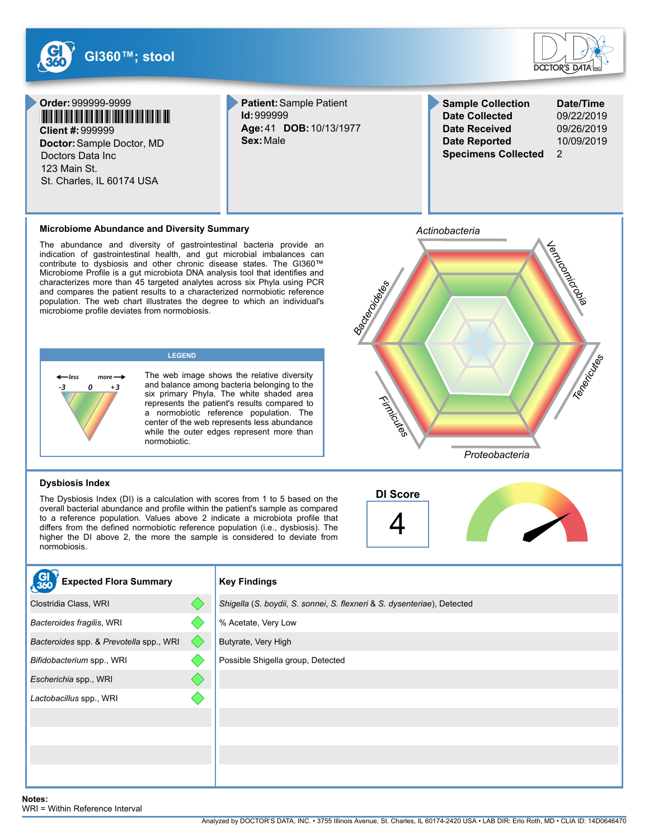

Butyrate, Very High

Possible Shigella group, Detected

*Bacteroides* spp. & *Prevotella* spp., WRI

*Bifidobacterium* spp., WRI *Escherichia* spp., WRI *Lactobacillus* spp., WRI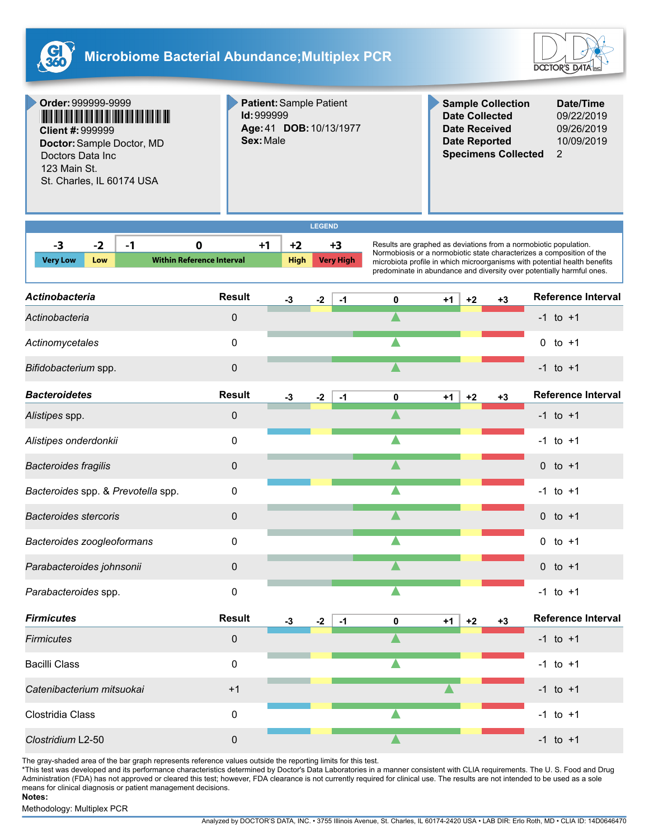



**Order:**999999-9999 <u>i mana ana ana ana amin'ny faritr'i Nord-Amin'ny faritr'i Nord-Amin'ny faritr'i Nord-Amin'ny tan</u> **Client #:**999999

**Doctor:**Sample Doctor, MD Doctors Data Inc 123 Main St. St. Charles, IL 60174 USA

**Patient:**Sample Patient **Id:**999999 **Age:**41 **DOB:**10/13/1977 **Sex:**Male

**Sample Collection Date/Time Date Collected** 09/22/2019 **Date Received** 09/26/2019 **Date Reported** 10/09/2019 **Specimens Collected** 2

| GEN<br>≺≞<br>в |  |
|----------------|--|
|                |  |

| -3              | - 7 | - 1 |                                  |             | +3               |
|-----------------|-----|-----|----------------------------------|-------------|------------------|
| <b>Very Low</b> | Low |     | <b>Within Reference Interval</b> | <b>High</b> | <b>Very High</b> |
|                 |     |     |                                  |             |                  |

Results are graphed as deviations from a normobiotic population. Normobiosis or a normobiotic state characterizes a composition of the microbiota profile in which microorganisms with potential health benefits predominate in abundance and diversity over potentially harmful ones.

| <b>Actinobacteria</b>              | <b>Result</b> | -3   | $-2$ | $-1$ | 0 | $+1$ | $+2$ | $+3$ | <b>Reference Interval</b> |
|------------------------------------|---------------|------|------|------|---|------|------|------|---------------------------|
| Actinobacteria                     | 0             |      |      |      |   |      |      |      | $-1$ to $+1$              |
| Actinomycetales                    | 0             |      |      |      |   |      |      |      | $0$ to $+1$               |
| Bifidobacterium spp.               | $\pmb{0}$     |      |      |      |   |      |      |      | $-1$ to $+1$              |
| <b>Bacteroidetes</b>               | <b>Result</b> | $-3$ | $-2$ | $-1$ | 0 | $+1$ | $+2$ | $+3$ | <b>Reference Interval</b> |
| Alistipes spp.                     | 0             |      |      |      |   |      |      |      | $-1$ to $+1$              |
| Alistipes onderdonkii              | 0             |      |      |      |   |      |      |      | $-1$ to $+1$              |
| <b>Bacteroides fragilis</b>        | $\mathbf 0$   |      |      |      |   |      |      |      | $0$ to $+1$               |
| Bacteroides spp. & Prevotella spp. | 0             |      |      |      |   |      |      |      | $-1$ to $+1$              |
| <b>Bacteroides stercoris</b>       | $\mathbf{0}$  |      |      |      |   |      |      |      | 0 to $+1$                 |
| Bacteroides zoogleoformans         | 0             |      |      |      |   |      |      |      | $0$ to $+1$               |
| Parabacteroides johnsonii          | 0             |      |      |      |   |      |      |      | $0$ to $+1$               |
| Parabacteroides spp.               | 0             |      |      |      |   |      |      |      | $-1$ to $+1$              |
| <b>Firmicutes</b>                  | <b>Result</b> | $-3$ | $-2$ | $-1$ | 0 | $+1$ | $+2$ | $+3$ | <b>Reference Interval</b> |
| <b>Firmicutes</b>                  | $\pmb{0}$     |      |      |      |   |      |      |      | $-1$ to $+1$              |
| <b>Bacilli Class</b>               | 0             |      |      |      |   |      |      |      | $-1$ to $+1$              |
| Catenibacterium mitsuokai          | $+1$          |      |      |      |   |      |      |      | $-1$ to $+1$              |
| Clostridia Class                   | 0             |      |      |      |   |      |      |      | $-1$ to $+1$              |
| Clostridium L2-50                  | 0             |      |      |      |   |      |      |      | $-1$ to $+1$              |

The gray-shaded area of the bar graph represents reference values outside the reporting limits for this test.

\*This test was developed and its performance characteristics determined by Doctor's Data Laboratories in a manner consistent with CLIA requirements. The U. S. Food and Drug Administration (FDA) has not approved or cleared this test; however, FDA clearance is not currently required for clinical use. The results are not intended to be used as a sole means for clinical diagnosis or patient management decisions.

#### **Notes:**

Methodology: Multiplex PCR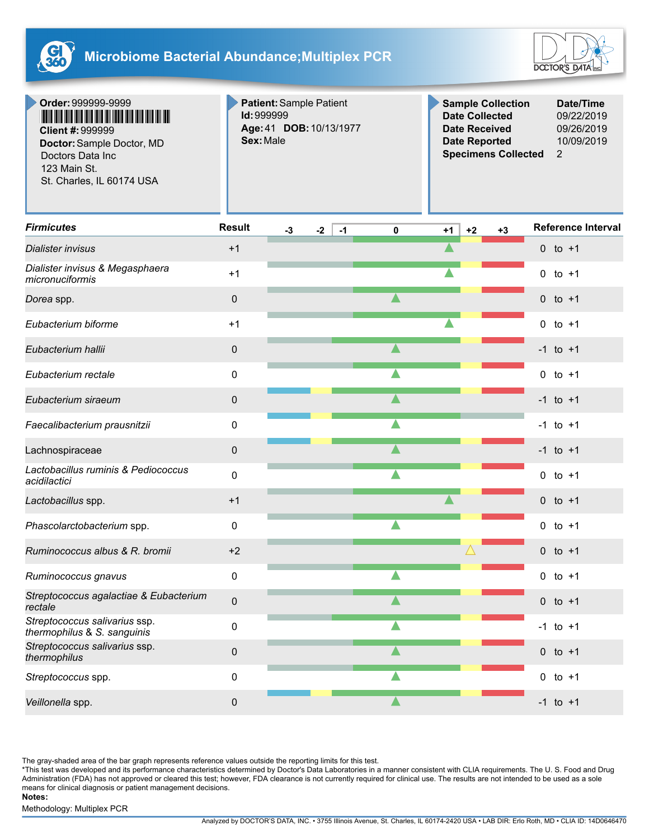



**Order:**999999-9999 **Client #:**999999

**Doctor:**Sample Doctor, MD Doctors Data Inc 123 Main St. St. Charles, IL 60174 USA

**Patient:**Sample Patient **Id:**999999 **Age:**41 **DOB:**10/13/1977 **Sex:**Male

**Sample Collection Date/Time Date Collected** 09/22/2019 **Date Received** 09/26/2019 **Date Reported** 10/09/2019 **Specimens Collected** 2

| <b>Firmicutes</b>                                            | <b>Result</b> | $-3$ | $-2$ | $-1$ | $\mathbf 0$ | $+1$ | $+2$ | $+3$ | <b>Reference Interval</b> |
|--------------------------------------------------------------|---------------|------|------|------|-------------|------|------|------|---------------------------|
| Dialister invisus                                            | $+1$          |      |      |      |             |      |      |      | 0 to $+1$                 |
| Dialister invisus & Megasphaera<br>micronuciformis           | $+1$          |      |      |      |             |      |      |      | $0$ to $+1$               |
| Dorea spp.                                                   | 0             |      |      |      |             |      |      |      | $0$ to $+1$               |
| Eubacterium biforme                                          | $+1$          |      |      |      |             |      |      |      | $0$ to $+1$               |
| Eubacterium hallii                                           | 0             |      |      |      |             |      |      |      | $-1$ to $+1$              |
| Eubacterium rectale                                          | 0             |      |      |      |             |      |      |      | $\mathbf{0}$<br>to +1     |
| Eubacterium siraeum                                          | 0             |      |      |      |             |      |      |      | $-1$ to $+1$              |
| Faecalibacterium prausnitzii                                 | 0             |      |      |      |             |      |      |      | $-1$ to $+1$              |
| Lachnospiraceae                                              | 0             |      |      |      |             |      |      |      | $-1$ to $+1$              |
| Lactobacillus ruminis & Pediococcus<br>acidilactici          | 0             |      |      |      |             |      |      |      | $0$ to $+1$               |
| Lactobacillus spp.                                           | $+1$          |      |      |      |             |      |      |      | $0$ to $+1$               |
| Phascolarctobacterium spp.                                   | 0             |      |      |      |             |      |      |      | $0$ to $+1$               |
| Ruminococcus albus & R. bromii                               | $+2$          |      |      |      |             |      |      |      | 0 to $+1$                 |
| Ruminococcus gnavus                                          | $\Omega$      |      |      |      |             |      |      |      | $0$ to $+1$               |
| Streptococcus agalactiae & Eubacterium<br>rectale            | 0             |      |      |      |             |      |      |      | $0$ to $+1$               |
| Streptococcus salivarius ssp.<br>thermophilus & S. sanguinis | 0             |      |      |      |             |      |      |      | $-1$ to $+1$              |
| Streptococcus salivarius ssp.<br>thermophilus                | $\pmb{0}$     |      |      |      |             |      |      |      | $0$ to $+1$               |
| Streptococcus spp.                                           | 0             |      |      |      |             |      |      |      | $\mathbf 0$<br>to $+1$    |
| Veillonella spp.                                             | 0             |      |      |      |             |      |      |      | $-1$ to $+1$              |

The gray-shaded area of the bar graph represents reference values outside the reporting limits for this test.

\*This test was developed and its performance characteristics determined by Doctor's Data Laboratories in a manner consistent with CLIA requirements. The U. S. Food and Drug Administration (FDA) has not approved or cleared this test; however, FDA clearance is not currently required for clinical use. The results are not intended to be used as a sole means for clinical diagnosis or patient management decisions.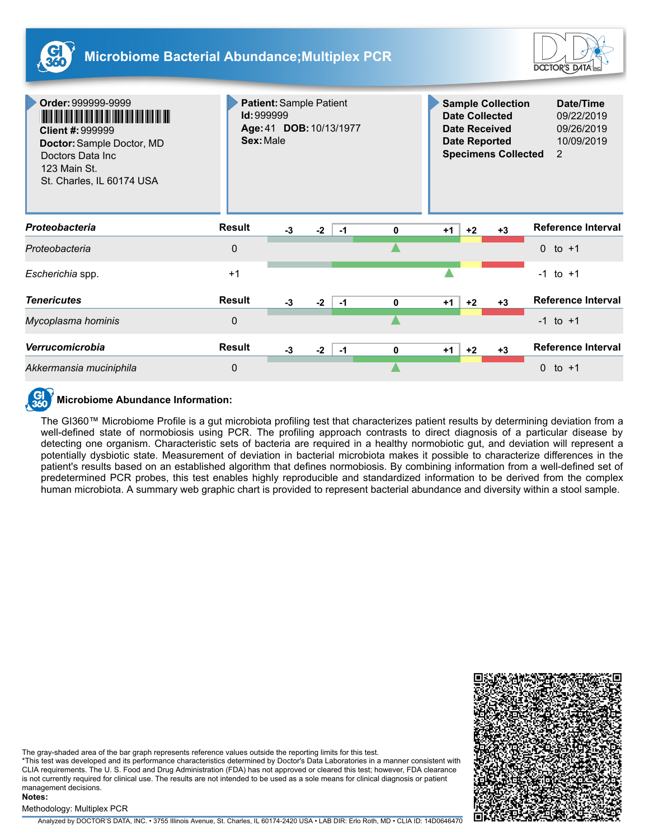



| Order: 999999-9999<br><b>Client #: 999999</b><br>Doctor: Sample Doctor, MD<br>Doctors Data Inc<br>123 Main St.<br>St. Charles, IL 60174 USA | <b>Patient: Sample Patient</b><br><b>Id: 999999</b><br>Age: 41 DOB: 10/13/1977<br>Sex: Male |      |      |      |   | <b>Sample Collection</b><br><b>Date Collected</b><br><b>Date Received</b><br><b>Date Reported</b><br><b>Specimens Collected</b> |      |      |          | Date/Time<br>09/22/2019<br>09/26/2019<br>10/09/2019<br>2 |
|---------------------------------------------------------------------------------------------------------------------------------------------|---------------------------------------------------------------------------------------------|------|------|------|---|---------------------------------------------------------------------------------------------------------------------------------|------|------|----------|----------------------------------------------------------|
| Proteobacteria                                                                                                                              | <b>Result</b>                                                                               | $-3$ | $-2$ | $-1$ | 0 | $+1$                                                                                                                            | $+2$ | $+3$ |          | Reference Interval                                       |
| Proteobacteria                                                                                                                              | $\Omega$                                                                                    |      |      |      |   |                                                                                                                                 |      |      |          | 0 to $+1$                                                |
| Escherichia spp.                                                                                                                            | $+1$                                                                                        |      |      |      |   |                                                                                                                                 |      |      |          | $-1$ to $+1$                                             |
| <b>Tenericutes</b>                                                                                                                          | <b>Result</b>                                                                               | $-3$ | $-2$ | $-1$ | 0 | $+1$                                                                                                                            | $+2$ | $+3$ |          | <b>Reference Interval</b>                                |
| Mycoplasma hominis                                                                                                                          | $\Omega$                                                                                    |      |      |      |   |                                                                                                                                 |      |      |          | $-1$ to $+1$                                             |
| Verrucomicrobia                                                                                                                             | <b>Result</b>                                                                               | $-3$ | $-2$ | $-1$ | 0 | $+1$                                                                                                                            | $+2$ | $+3$ |          | Reference Interval                                       |
| Akkermansia muciniphila                                                                                                                     | $\Omega$                                                                                    |      |      |      |   |                                                                                                                                 |      |      | $\Omega$ | to $+1$                                                  |



### **Microbiome Abundance Information:**

The GI360™ Microbiome Profile is a gut microbiota profiling test that characterizes patient results by determining deviation from a well-defined state of normobiosis using PCR. The profiling approach contrasts to direct diagnosis of a particular disease by detecting one organism. Characteristic sets of bacteria are required in a healthy normobiotic gut, and deviation will represent a potentially dysbiotic state. Measurement of deviation in bacterial microbiota makes it possible to characterize differences in the patient's results based on an established algorithm that defines normobiosis. By combining information from a well-defined set of predetermined PCR probes, this test enables highly reproducible and standardized information to be derived from the complex human microbiota. A summary web graphic chart is provided to represent bacterial abundance and diversity within a stool sample.



The gray-shaded area of the bar graph represents reference values outside the reporting limits for this test.

\*This test was developed and its performance characteristics determined by Doctor's Data Laboratories in a manner consistent with CLIA requirements. The U. S. Food and Drug Administration (FDA) has not approved or cleared this test; however, FDA clearance is not currently required for clinical use. The results are not intended to be used as a sole means for clinical diagnosis or patient management decisions.

### Methodology: Multiplex PCR

**Notes:**

Analyzed by DOCTOR'S DATA, INC. • 3755 Illinois Avenue, St. Charles, IL 60174-2420 USA • LAB DIR: Erlo Roth, MD • CLIA ID: 14D0646470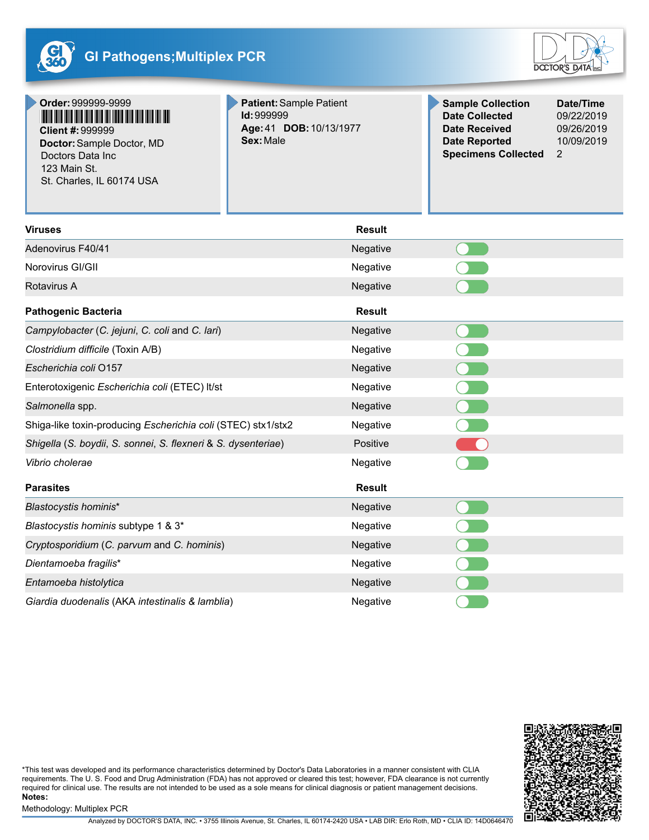



**Order:**999999-9999 <u> I han an taile ann an t-Ina ann an t-Ina ann an t-Ina ann an t-Ina ann an t-</u> **Client #:**999999

**Doctor:**Sample Doctor, MD Doctors Data Inc 123 Main St. St. Charles, IL 60174 USA

**Patient:**Sample Patient **Id:**999999 **Age:**41 **DOB:**10/13/1977 **Sex:**Male

**Sample Collection Date/Time Date Collected** 09/22/2019 **Date Received** 09/26/2019 **Date Reported** 10/09/2019 **Specimens Collected** 2

| <b>Viruses</b>                                                | Result        |  |
|---------------------------------------------------------------|---------------|--|
| Adenovirus F40/41                                             | Negative      |  |
| Norovirus GI/GII                                              | Negative      |  |
| <b>Rotavirus A</b>                                            | Negative      |  |
| <b>Pathogenic Bacteria</b>                                    | <b>Result</b> |  |
| Campylobacter (C. jejuni, C. coli and C. lari)                | Negative      |  |
| Clostridium difficile (Toxin A/B)                             | Negative      |  |
| Escherichia coli O157                                         | Negative      |  |
| Enterotoxigenic Escherichia coli (ETEC) It/st                 | Negative      |  |
| Salmonella spp.                                               | Negative      |  |
| Shiga-like toxin-producing Escherichia coli (STEC) stx1/stx2  | Negative      |  |
| Shigella (S. boydii, S. sonnei, S. flexneri & S. dysenteriae) | Positive      |  |
| Vibrio cholerae                                               | Negative      |  |
| <b>Parasites</b>                                              | <b>Result</b> |  |
| Blastocystis hominis*                                         | Negative      |  |
| Blastocystis hominis subtype 1 & 3*                           | Negative      |  |
| Cryptosporidium (C. parvum and C. hominis)                    | Negative      |  |
| Dientamoeba fragilis*                                         | Negative      |  |
| Entamoeba histolytica                                         | Negative      |  |
| Giardia duodenalis (AKA intestinalis & lamblia)               | Negative      |  |



\*This test was developed and its performance characteristics determined by Doctor's Data Laboratories in a manner consistent with CLIA requirements. The U. S. Food and Drug Administration (FDA) has not approved or cleared this test; however, FDA clearance is not currently required for clinical use. The results are not intended to be used as a sole means for clinical diagnosis or patient management decisions. **Notes:**

Methodology: Multiplex PCR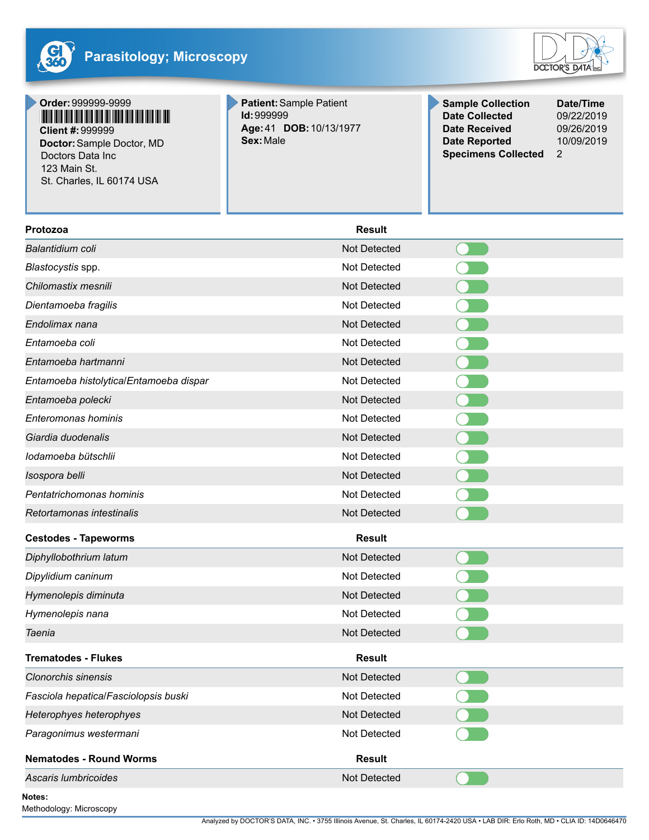



# **Order:**999999-9999 **Client #:**999999

**Doctor:**Sample Doctor, MD Doctors Data Inc 123 Main St. St. Charles, IL 60174 USA

**Patient:**Sample Patient **Id:**999999 **Age:**41 **DOB:**10/13/1977 **Sex:**Male

**Sample Collection Date/Time Date Collected** 09/22/2019 **Date Received** 09/26/2019 **Date Reported** 10/09/2019 **Specimens Collected** 2

| <b>Result</b>       |  |
|---------------------|--|
| Not Detected        |  |
| Not Detected        |  |
| <b>Not Detected</b> |  |
| Not Detected        |  |
| Not Detected        |  |
| Not Detected        |  |
| Not Detected        |  |
| Not Detected        |  |
| Not Detected        |  |
| Not Detected        |  |
| <b>Not Detected</b> |  |
| Not Detected        |  |
| <b>Not Detected</b> |  |
| Not Detected        |  |
| Not Detected        |  |
| <b>Result</b>       |  |
| Not Detected        |  |
| Not Detected        |  |
| Not Detected        |  |
| Not Detected        |  |
| Not Detected        |  |
| <b>Result</b>       |  |
| Not Detected        |  |
| Not Detected        |  |
| Not Detected        |  |
| Not Detected        |  |
| <b>Result</b>       |  |
| Not Detected        |  |
|                     |  |

**Notes:**

Methodology: Microscopy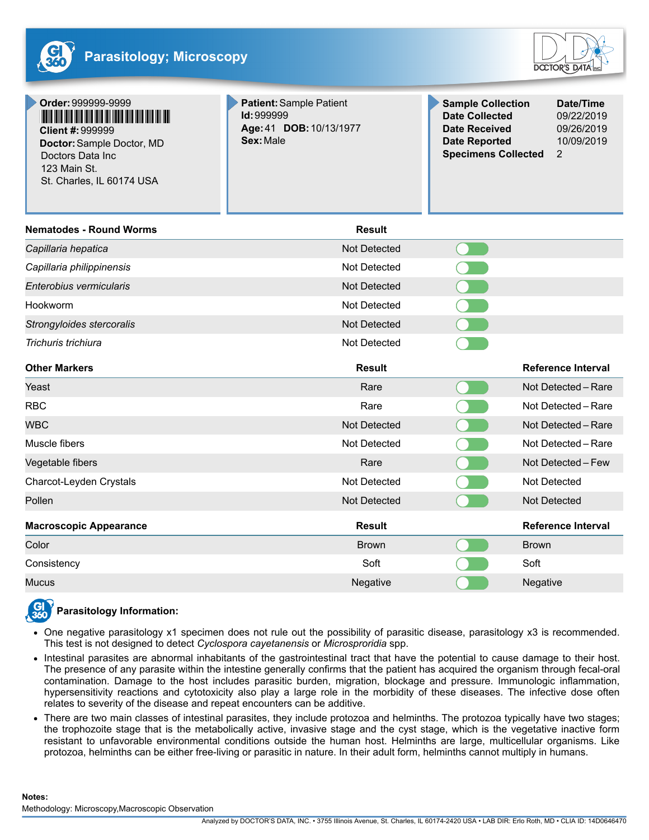



| Order: 999999-9999<br><u>The the the theory and the theory of the theory and</u><br>Client #: 999999<br>Doctor: Sample Doctor, MD<br>Doctors Data Inc<br>123 Main St.<br>St. Charles, IL 60174 USA | Patient: Sample Patient<br>Id: 999999<br>Age: 41 DOB: 10/13/1977<br>Sex: Male | <b>Sample Collection</b><br><b>Date Collected</b><br><b>Date Received</b><br><b>Date Reported</b><br><b>Specimens Collected</b> | Date/Time<br>09/22/2019<br>09/26/2019<br>10/09/2019<br>$\overline{2}$ |
|----------------------------------------------------------------------------------------------------------------------------------------------------------------------------------------------------|-------------------------------------------------------------------------------|---------------------------------------------------------------------------------------------------------------------------------|-----------------------------------------------------------------------|
| <b>Nematodes - Round Worms</b>                                                                                                                                                                     | <b>Result</b>                                                                 |                                                                                                                                 |                                                                       |
| Capillaria hepatica                                                                                                                                                                                | <b>Not Detected</b>                                                           |                                                                                                                                 |                                                                       |
| Capillaria philippinensis                                                                                                                                                                          | Not Detected                                                                  |                                                                                                                                 |                                                                       |
| Enterobius vermicularis                                                                                                                                                                            | <b>Not Detected</b>                                                           |                                                                                                                                 |                                                                       |
| Hookworm                                                                                                                                                                                           | Not Detected                                                                  | $\bullet$                                                                                                                       |                                                                       |
| Strongyloides stercoralis                                                                                                                                                                          | Not Detected                                                                  |                                                                                                                                 |                                                                       |
| Trichuris trichiura                                                                                                                                                                                | Not Detected                                                                  |                                                                                                                                 |                                                                       |
| <b>Other Markers</b>                                                                                                                                                                               | <b>Result</b>                                                                 |                                                                                                                                 | <b>Reference Interval</b>                                             |
| Yeast                                                                                                                                                                                              | Rare                                                                          |                                                                                                                                 | Not Detected - Rare                                                   |
| <b>RBC</b>                                                                                                                                                                                         | Rare                                                                          |                                                                                                                                 | Not Detected - Rare                                                   |
| <b>WBC</b>                                                                                                                                                                                         | <b>Not Detected</b>                                                           |                                                                                                                                 | Not Detected - Rare                                                   |
| Muscle fibers                                                                                                                                                                                      | Not Detected                                                                  |                                                                                                                                 | Not Detected - Rare                                                   |
| Vegetable fibers                                                                                                                                                                                   | Rare                                                                          |                                                                                                                                 | Not Detected - Few                                                    |
| Charcot-Leyden Crystals                                                                                                                                                                            | <b>Not Detected</b>                                                           |                                                                                                                                 | Not Detected                                                          |
| Pollen                                                                                                                                                                                             | Not Detected                                                                  |                                                                                                                                 | Not Detected                                                          |
| <b>Macroscopic Appearance</b>                                                                                                                                                                      | <b>Result</b>                                                                 |                                                                                                                                 | <b>Reference Interval</b>                                             |
| Color                                                                                                                                                                                              | <b>Brown</b>                                                                  | <b>Brown</b>                                                                                                                    |                                                                       |
| Consistency                                                                                                                                                                                        | Soft                                                                          | Soft                                                                                                                            |                                                                       |
| <b>Mucus</b>                                                                                                                                                                                       | Negative                                                                      | Negative                                                                                                                        |                                                                       |
|                                                                                                                                                                                                    |                                                                               |                                                                                                                                 |                                                                       |

## **Parasitology Information:**

- One negative parasitology x1 specimen does not rule out the possibility of parasitic disease, parasitology x3 is recommended. This test is not designed to detect *Cyclospora cayetanensis* or *Microsproridia* spp.
- Intestinal parasites are abnormal inhabitants of the gastrointestinal tract that have the potential to cause damage to their host.  $\bullet$ The presence of any parasite within the intestine generally confirms that the patient has acquired the organism through fecal-oral contamination. Damage to the host includes parasitic burden, migration, blockage and pressure. Immunologic inflammation, hypersensitivity reactions and cytotoxicity also play a large role in the morbidity of these diseases. The infective dose often relates to severity of the disease and repeat encounters can be additive.
- There are two main classes of intestinal parasites, they include protozoa and helminths. The protozoa typically have two stages; the trophozoite stage that is the metabolically active, invasive stage and the cyst stage, which is the vegetative inactive form resistant to unfavorable environmental conditions outside the human host. Helminths are large, multicellular organisms. Like protozoa, helminths can be either free-living or parasitic in nature. In their adult form, helminths cannot multiply in humans.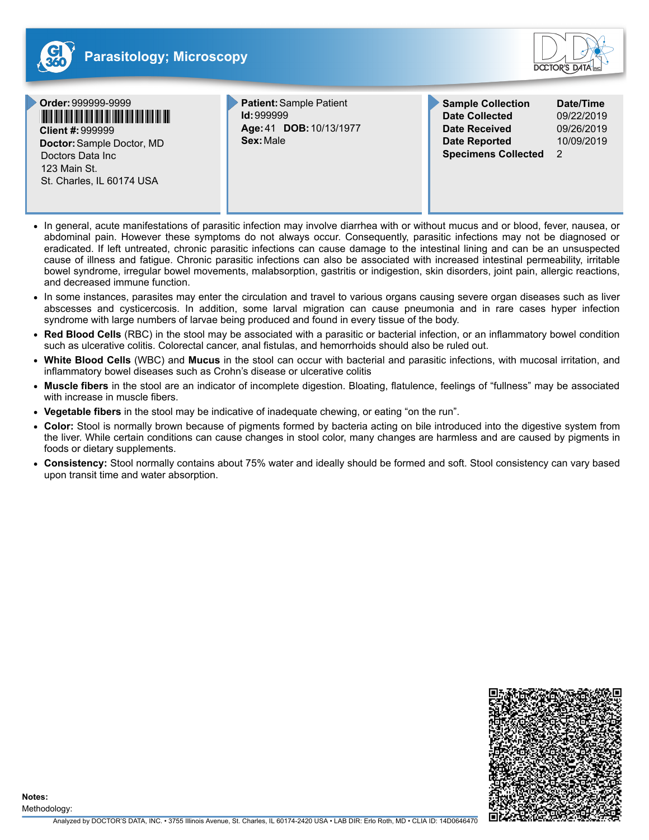





Doctors Data Inc 123 Main St. St. Charles, IL 60174 USA

**Patient:**Sample Patient **Id:**999999 **Age:**41 **DOB:**10/13/1977 **Sex:**Male

**Sample Collection Date/Time Date Collected** 09/22/2019 **Date Received** 09/26/2019 **Date Reported** 10/09/2019 **Specimens Collected** 2

- In general, acute manifestations of parasitic infection may involve diarrhea with or without mucus and or blood, fever, nausea, or abdominal pain. However these symptoms do not always occur. Consequently, parasitic infections may not be diagnosed or eradicated. If left untreated, chronic parasitic infections can cause damage to the intestinal lining and can be an unsuspected cause of illness and fatigue. Chronic parasitic infections can also be associated with increased intestinal permeability, irritable bowel syndrome, irregular bowel movements, malabsorption, gastritis or indigestion, skin disorders, joint pain, allergic reactions, and decreased immune function.
- In some instances, parasites may enter the circulation and travel to various organs causing severe organ diseases such as liver abscesses and cysticercosis. In addition, some larval migration can cause pneumonia and in rare cases hyper infection syndrome with large numbers of larvae being produced and found in every tissue of the body.
- **Red Blood Cells** (RBC) in the stool may be associated with a parasitic or bacterial infection, or an inflammatory bowel condition such as ulcerative colitis. Colorectal cancer, anal fistulas, and hemorrhoids should also be ruled out.
- **White Blood Cells** (WBC) and **Mucus** in the stool can occur with bacterial and parasitic infections, with mucosal irritation, and inflammatory bowel diseases such as Crohn's disease or ulcerative colitis
- **Muscle fibers** in the stool are an indicator of incomplete digestion. Bloating, flatulence, feelings of "fullness" may be associated with increase in muscle fibers.
- **Vegetable fibers** in the stool may be indicative of inadequate chewing, or eating "on the run".
- **Color:** Stool is normally brown because of pigments formed by bacteria acting on bile introduced into the digestive system from the liver. While certain conditions can cause changes in stool color, many changes are harmless and are caused by pigments in foods or dietary supplements.
- **Consistency:** Stool normally contains about 75% water and ideally should be formed and soft. Stool consistency can vary based upon transit time and water absorption.

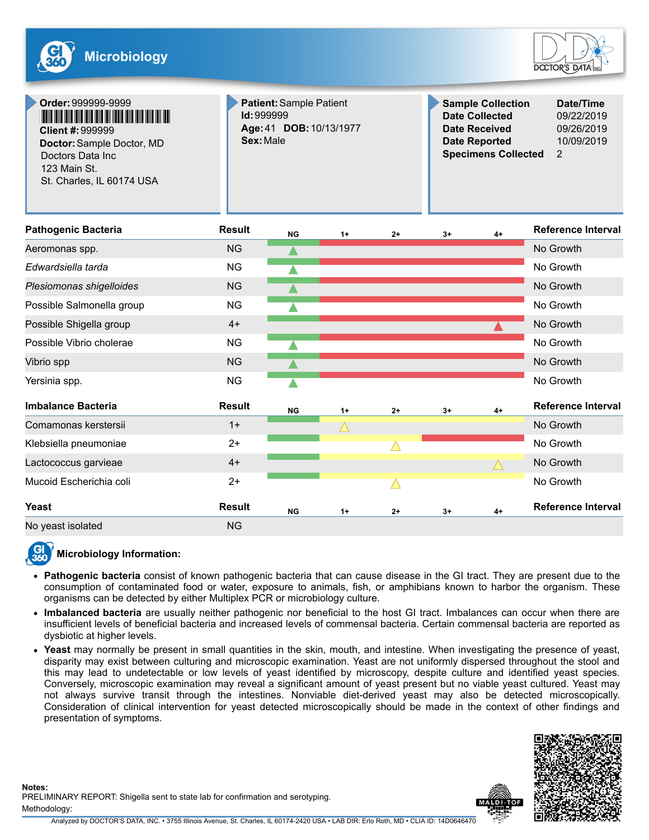**Order:**999999-9999



**Sample Collection Date/Time Date Collected** 09/22/2019

| <b>Client #: 999999</b><br>Doctor: Sample Doctor, MD<br>Doctors Data Inc<br>123 Main St.<br>St. Charles, IL 60174 USA | Sex: Male     | Age: 41 DOB: 10/13/1977 |      |             |      | <b>Date Received</b><br><b>Date Reported</b><br><b>Specimens Collected</b> | 09/26/2019<br>10/09/2019<br>2 |
|-----------------------------------------------------------------------------------------------------------------------|---------------|-------------------------|------|-------------|------|----------------------------------------------------------------------------|-------------------------------|
| <b>Pathogenic Bacteria</b>                                                                                            | <b>Result</b> | <b>NG</b>               | $1+$ | $2+$        | $3+$ | $4+$                                                                       | <b>Reference Interval</b>     |
| Aeromonas spp.                                                                                                        | <b>NG</b>     |                         |      |             |      |                                                                            | No Growth                     |
| Edwardsiella tarda                                                                                                    | <b>NG</b>     |                         |      |             |      |                                                                            | No Growth                     |
| Plesiomonas shigelloides                                                                                              | <b>NG</b>     |                         |      |             |      |                                                                            | No Growth                     |
| Possible Salmonella group                                                                                             | <b>NG</b>     |                         |      |             |      |                                                                            | No Growth                     |
| Possible Shigella group                                                                                               | $4+$          |                         |      |             |      |                                                                            | No Growth                     |
| Possible Vibrio cholerae                                                                                              | <b>NG</b>     |                         |      |             |      |                                                                            | No Growth                     |
| Vibrio spp                                                                                                            | <b>NG</b>     |                         |      |             |      |                                                                            | No Growth                     |
| Yersinia spp.                                                                                                         | <b>NG</b>     |                         |      |             |      |                                                                            | No Growth                     |
| <b>Imbalance Bacteria</b>                                                                                             | <b>Result</b> | NG                      | $1+$ | $2+$        | $3+$ | $4+$                                                                       | <b>Reference Interval</b>     |
| Comamonas kerstersii                                                                                                  | $1+$          |                         |      |             |      |                                                                            | No Growth                     |
| Klebsiella pneumoniae                                                                                                 | $2+$          |                         |      | $\triangle$ |      |                                                                            | No Growth                     |
| Lactococcus garvieae                                                                                                  | $4+$          |                         |      |             |      |                                                                            | No Growth                     |
| Mucoid Escherichia coli                                                                                               | $2+$          |                         |      | $\triangle$ |      |                                                                            | No Growth                     |
| Yeast                                                                                                                 | <b>Result</b> | <b>NG</b>               | $1+$ | $2+$        | $3+$ | $4+$                                                                       | Reference Interval            |
| No yeast isolated                                                                                                     | <b>NG</b>     |                         |      |             |      |                                                                            |                               |

**Patient:**Sample Patient

**Id:**999999



### **Microbiology Information:**

- **Pathogenic bacteria** consist of known pathogenic bacteria that can cause disease in the GI tract. They are present due to the consumption of contaminated food or water, exposure to animals, fish, or amphibians known to harbor the organism. These organisms can be detected by either Multiplex PCR or microbiology culture.
- **Imbalanced bacteria** are usually neither pathogenic nor beneficial to the host GI tract. Imbalances can occur when there are insufficient levels of beneficial bacteria and increased levels of commensal bacteria. Certain commensal bacteria are reported as dysbiotic at higher levels.
- **Yeast** may normally be present in small quantities in the skin, mouth, and intestine. When investigating the presence of yeast, disparity may exist between culturing and microscopic examination. Yeast are not uniformly dispersed throughout the stool and this may lead to undetectable or low levels of yeast identified by microscopy, despite culture and identified yeast species. Conversely, microscopic examination may reveal a significant amount of yeast present but no viable yeast cultured. Yeast may not always survive transit through the intestines. Nonviable diet-derived yeast may also be detected microscopically. Consideration of clinical intervention for yeast detected microscopically should be made in the context of other findings and presentation of symptoms.





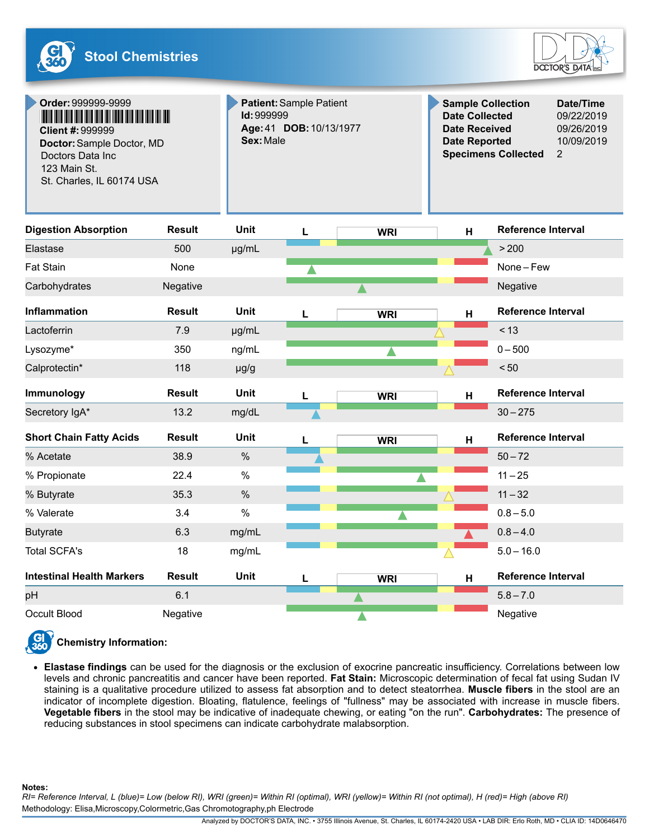

| Order: 999999-9999<br>Client #: 999999<br>Doctor: Sample Doctor, MD<br>Doctors Data Inc<br>123 Main St.<br>St. Charles, IL 60174 USA | <b>Id: 999999</b><br>Sex: Male | Patient: Sample Patient<br>Age: 41 DOB: 10/13/1977 |   | <b>Sample Collection</b><br><b>Date Collected</b><br><b>Date Received</b><br><b>Date Reported</b><br><b>Specimens Collected</b> | Date/Time<br>09/22/2019<br>09/26/2019<br>10/09/2019<br>$\overline{2}$ |                           |  |
|--------------------------------------------------------------------------------------------------------------------------------------|--------------------------------|----------------------------------------------------|---|---------------------------------------------------------------------------------------------------------------------------------|-----------------------------------------------------------------------|---------------------------|--|
| <b>Digestion Absorption</b>                                                                                                          | <b>Result</b>                  | <b>Unit</b>                                        |   | <b>WRI</b>                                                                                                                      | H                                                                     | Reference Interval        |  |
| Elastase                                                                                                                             | 500                            | µg/mL                                              |   |                                                                                                                                 |                                                                       | > 200                     |  |
| <b>Fat Stain</b>                                                                                                                     | None                           |                                                    |   |                                                                                                                                 |                                                                       | None-Few                  |  |
| Carbohydrates                                                                                                                        | Negative                       |                                                    |   |                                                                                                                                 |                                                                       | Negative                  |  |
| <b>Inflammation</b>                                                                                                                  | <b>Result</b>                  | Unit                                               |   | <b>WRI</b>                                                                                                                      | H                                                                     | <b>Reference Interval</b> |  |
| Lactoferrin                                                                                                                          | 7.9                            | µg/mL                                              |   |                                                                                                                                 |                                                                       | < 13                      |  |
| Lysozyme*                                                                                                                            | 350                            | ng/mL                                              |   |                                                                                                                                 |                                                                       | $0 - 500$                 |  |
| Calprotectin*                                                                                                                        | 118                            | $\mu$ g/g                                          |   |                                                                                                                                 |                                                                       | < 50                      |  |
| Immunology                                                                                                                           | <b>Result</b>                  | <b>Unit</b>                                        | L | <b>WRI</b>                                                                                                                      | H                                                                     | <b>Reference Interval</b> |  |
| Secretory IgA*                                                                                                                       | 13.2                           | mg/dL                                              |   |                                                                                                                                 |                                                                       | $30 - 275$                |  |
| <b>Short Chain Fatty Acids</b>                                                                                                       | <b>Result</b>                  | <b>Unit</b>                                        | L | <b>WRI</b>                                                                                                                      | H                                                                     | <b>Reference Interval</b> |  |
| % Acetate                                                                                                                            | 38.9                           | $\frac{0}{0}$                                      |   |                                                                                                                                 |                                                                       | $50 - 72$                 |  |
| % Propionate                                                                                                                         | 22.4                           | $\frac{0}{0}$                                      |   |                                                                                                                                 |                                                                       | $11 - 25$                 |  |
| % Butyrate                                                                                                                           | 35.3                           | $\frac{0}{0}$                                      |   |                                                                                                                                 |                                                                       | $11 - 32$                 |  |
| % Valerate                                                                                                                           | 3.4                            | $\frac{0}{0}$                                      |   |                                                                                                                                 |                                                                       | $0.8 - 5.0$               |  |
| <b>Butyrate</b>                                                                                                                      | 6.3                            | mg/mL                                              |   |                                                                                                                                 |                                                                       | $0.8 - 4.0$               |  |
| <b>Total SCFA's</b>                                                                                                                  | 18                             | mg/mL                                              |   |                                                                                                                                 |                                                                       | $5.0 - 16.0$              |  |
| <b>Intestinal Health Markers</b>                                                                                                     | Result                         | Unit                                               |   | <b>WRI</b>                                                                                                                      | H                                                                     | <b>Reference Interval</b> |  |
| pH                                                                                                                                   | 6.1                            |                                                    |   |                                                                                                                                 |                                                                       | $5.8 - 7.0$               |  |
| <b>Occult Blood</b>                                                                                                                  | Negative                       |                                                    |   |                                                                                                                                 |                                                                       | Negative                  |  |

#### **GI Chemistry Information:**

**Elastase findings** can be used for the diagnosis or the exclusion of exocrine pancreatic insufficiency. Correlations between low levels and chronic pancreatitis and cancer have been reported. **Fat Stain:** Microscopic determination of fecal fat using Sudan IV staining is a qualitative procedure utilized to assess fat absorption and to detect steatorrhea. **Muscle fibers** in the stool are an indicator of incomplete digestion. Bloating, flatulence, feelings of "fullness" may be associated with increase in muscle fibers. **Vegetable fibers** in the stool may be indicative of inadequate chewing, or eating "on the run". **Carbohydrates:** The presence of reducing substances in stool specimens can indicate carbohydrate malabsorption.

**Notes:**

Methodology: Elisa,Microscopy,Colormetric,Gas Chromotography,ph Electrode RI= Reference Interval, L (blue)= Low (below RI), WRI (green)= Within RI (optimal), WRI (yellow)= Within RI (not optimal), H (red)= High (above RI)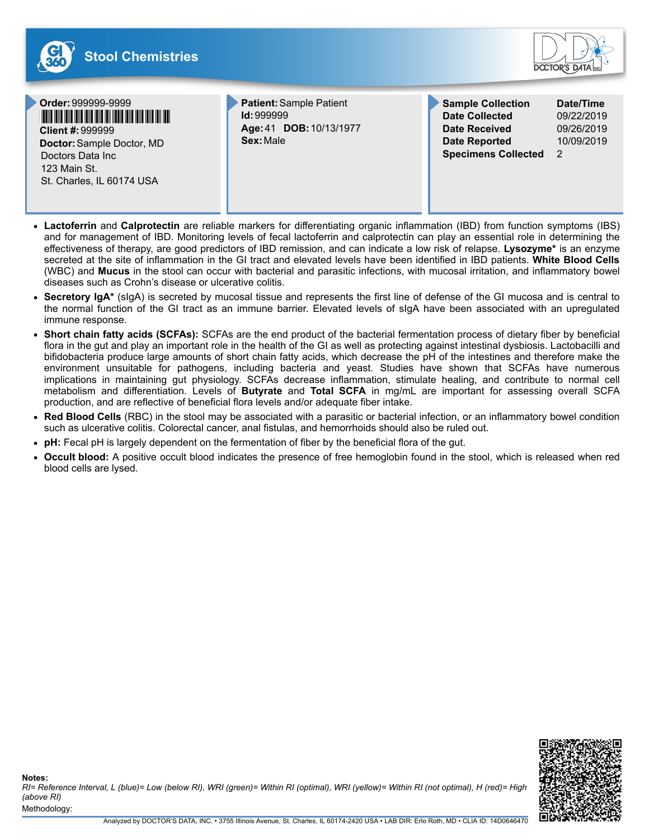

- **Lactoferrin** and **Calprotectin** are reliable markers for differentiating organic inflammation (IBD) from function symptoms (IBS) and for management of IBD. Monitoring levels of fecal lactoferrin and calprotectin can play an essential role in determining the effectiveness of therapy, are good predictors of IBD remission, and can indicate a low risk of relapse. **Lysozyme\*** is an enzyme secreted at the site of inflammation in the GI tract and elevated levels have been identified in IBD patients. **White Blood Cells** (WBC) and **Mucus** in the stool can occur with bacterial and parasitic infections, with mucosal irritation, and inflammatory bowel diseases such as Crohn's disease or ulcerative colitis.
- Secretory IgA<sup>\*</sup> (sIgA) is secreted by mucosal tissue and represents the first line of defense of the GI mucosa and is central to the normal function of the GI tract as an immune barrier. Elevated levels of sIgA have been associated with an upregulated immune response.
- **Short chain fatty acids (SCFAs):** SCFAs are the end product of the bacterial fermentation process of dietary fiber by beneficial  $\bullet$ flora in the gut and play an important role in the health of the GI as well as protecting against intestinal dysbiosis. Lactobacilli and bifidobacteria produce large amounts of short chain fatty acids, which decrease the pH of the intestines and therefore make the environment unsuitable for pathogens, including bacteria and yeast. Studies have shown that SCFAs have numerous implications in maintaining gut physiology. SCFAs decrease inflammation, stimulate healing, and contribute to normal cell metabolism and differentiation. Levels of **Butyrate** and **Total SCFA** in mg/mL are important for assessing overall SCFA production, and are reflective of beneficial flora levels and/or adequate fiber intake.
- **Red Blood Cells** (RBC) in the stool may be associated with a parasitic or bacterial infection, or an inflammatory bowel condition such as ulcerative colitis. Colorectal cancer, anal fistulas, and hemorrhoids should also be ruled out.
- **pH:** Fecal pH is largely dependent on the fermentation of fiber by the beneficial flora of the gut.
- **Occult blood:** A positive occult blood indicates the presence of free hemoglobin found in the stool, which is released when red blood cells are lysed.



Methodology: **Notes:** *RI= Reference Interval, L (blue)= Low (below RI), WRI (green)= Within RI (optimal), WRI (yellow)= Within RI (not optimal), H (red)= High (above RI)*